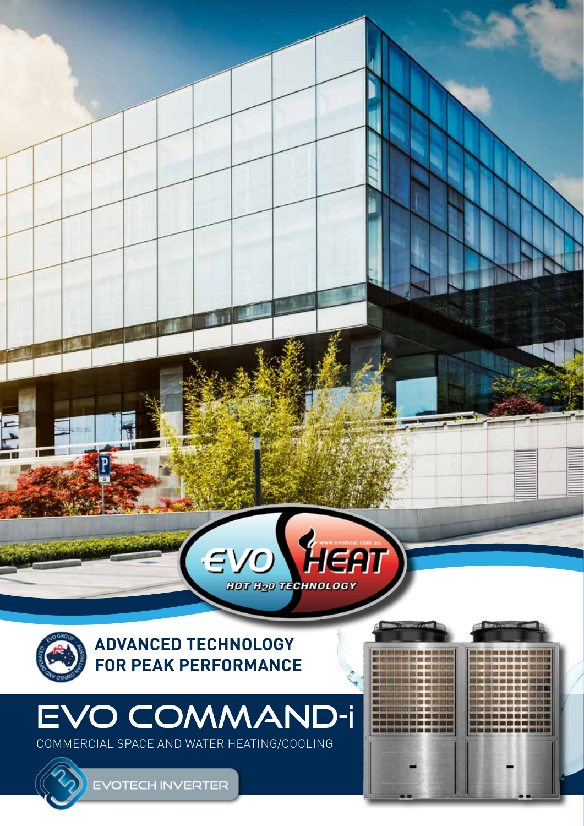

### EVO COMMAND-i COMMERCIAL SPACE AND WATER HEATING/COOLING

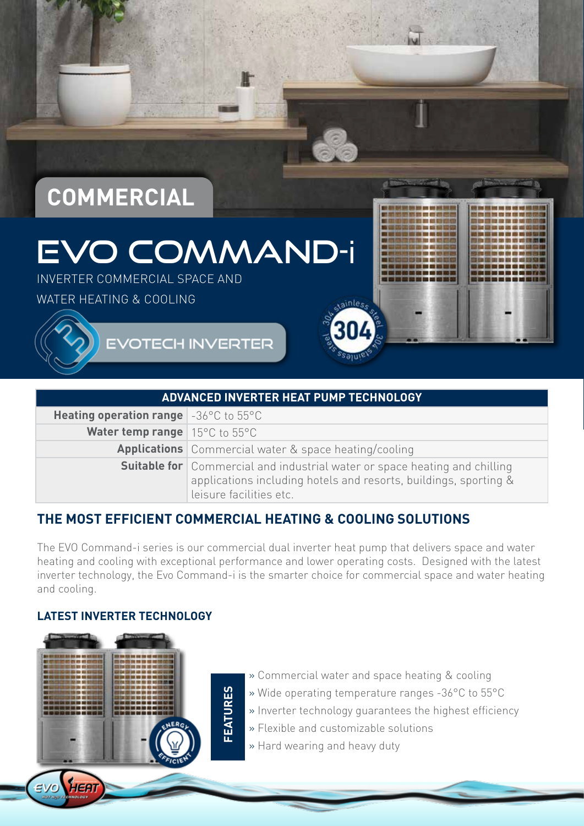# **COMMERCIAL**

### EVO COMMAND-i

INVERTER COMMERCIAL SPACE AND

WATER HEATING & COOLING

**EVOTECH INVERTER** 

| <b>ADVANCED INVERTER HEAT PUMP TECHNOLOGY</b>                     |                                                                                                                                                                                  |  |  |  |  |
|-------------------------------------------------------------------|----------------------------------------------------------------------------------------------------------------------------------------------------------------------------------|--|--|--|--|
| <b>Heating operation range</b> $-36^{\circ}$ C to 55 $^{\circ}$ C |                                                                                                                                                                                  |  |  |  |  |
| <b>Water temp range</b>   $15^{\circ}$ C to $55^{\circ}$ C        |                                                                                                                                                                                  |  |  |  |  |
|                                                                   | <b>Applications</b> Commercial water & space heating/cooling                                                                                                                     |  |  |  |  |
|                                                                   | <b>Suitable for</b> Commercial and industrial water or space heating and chilling<br>applications including hotels and resorts, buildings, sporting &<br>leisure facilities etc. |  |  |  |  |

#### **THE MOST EFFICIENT COMMERCIAL HEATING & COOLING SOLUTIONS**

The EVO Command-i series is our commercial dual inverter heat pump that delivers space and water heating and cooling with exceptional performance and lower operating costs. Designed with the latest inverter technology, the Evo Command-i is the smarter choice for commercial space and water heating and cooling.

#### **LATEST INVERTER TECHNOLOGY**

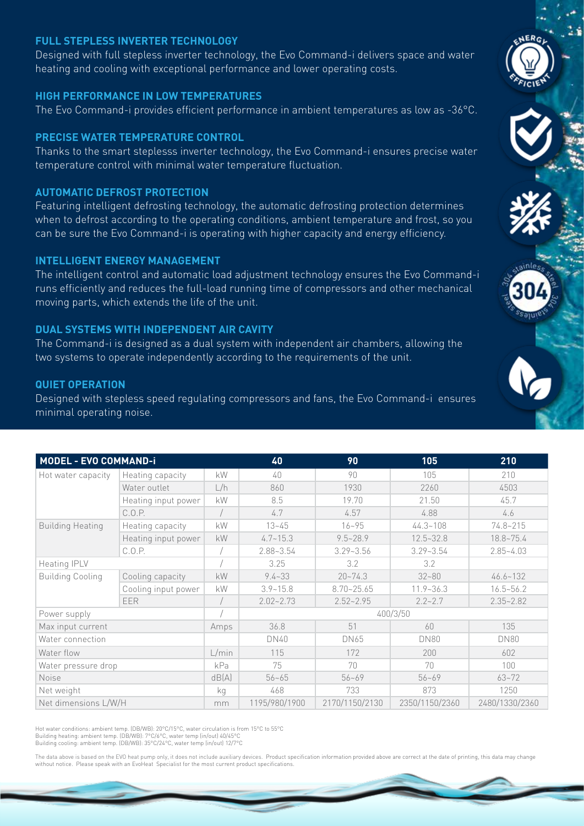#### **FULL STEPLESS INVERTER TECHNOLOGY**

Designed with full stepless inverter technology, the Evo Command-i delivers space and water heating and cooling with exceptional performance and lower operating costs.

#### **HIGH PERFORMANCE IN LOW TEMPERATURES**

The Evo Command-i provides efficient performance in ambient temperatures as low as -36°C.

#### **PRECISE WATER TEMPERATURE CONTROL**

Thanks to the smart steplesss inverter technology, the Evo Command-i ensures precise water temperature control with minimal water temperature fluctuation.

#### **AUTOMATIC DEFROST PROTECTION**

Featuring intelligent defrosting technology, the automatic defrosting protection determines when to defrost according to the operating conditions, ambient temperature and frost, so you can be sure the Evo Command-i is operating with higher capacity and energy efficiency.

#### **INTELLIGENT ENERGY MANAGEMENT**

The intelligent control and automatic load adjustment technology ensures the Evo Command-i runs efficiently and reduces the full-load running time of compressors and other mechanical moving parts, which extends the life of the unit.

#### **DUAL SYSTEMS WITH INDEPENDENT AIR CAVITY**

The Command-i is designed as a dual system with independent air chambers, allowing the two systems to operate independently according to the requirements of the unit.

#### **QUIET OPERATION**

Designed with stepless speed regulating compressors and fans, the Evo Command-i ensures minimal operating noise.

| <b>MODEL - EVO COMMAND-i</b> |                     |       | 40            | 90             | 105            | 210            |  |
|------------------------------|---------------------|-------|---------------|----------------|----------------|----------------|--|
| Hot water capacity           | Heating capacity    | kW    | $40 -$        | 90             | 105            | 210            |  |
|                              | Water outlet        | L/h   | 860           | 1930           | 2260           | 4503           |  |
|                              | Heating input power | kW    | 8.5           | 19.70          | 21.50          | 45.7           |  |
|                              | C.0.P.              |       | 4.7           | 4.57           | 4.88           | 4.6            |  |
| <b>Building Heating</b>      | Heating capacity    | kW    | $13 - 45$     | $16 - 95$      | $44.3 - 108$   | $74.8 - 215$   |  |
|                              | Heating input power | kW    | $4.7 - 15.3$  | $9.5 - 28.9$   | $12.5 - 32.8$  | $18.8 - 75.4$  |  |
|                              | C.0.P.              |       | $2.88 - 3.54$ | $3.29 - 3.56$  | $3.29 - 3.54$  | $2.85 - 4.03$  |  |
| Heating IPLV                 |                     |       | 3.25          | 3.2            | 3.2            |                |  |
| <b>Building Cooling</b>      | Cooling capacity    | kW    | $9.4 - 33$    | $20 - 74.3$    | $32 - 80$      | $46.6 - 132$   |  |
|                              | Cooling input power | kW    | $3.9 - 15.8$  | $8.70 - 25.65$ | $11.9 - 36.3$  | $16.5 - 56.2$  |  |
|                              | <b>EER</b>          |       | $2.02 - 2.73$ | $2.52 - 2.95$  | $2.2 - 2.7$    | $2.35 - 2.82$  |  |
| Power supply                 |                     |       | 400/3/50      |                |                |                |  |
| Max input current            |                     | Amps  | 36.8          | 51             | 60             | 135            |  |
| Water connection             |                     |       | DN40          | DN65           | <b>DN80</b>    | <b>DN80</b>    |  |
| Water flow                   |                     | L/min | 115           | 172            | 200            | 602            |  |
| Water pressure drop          |                     | kPa   | 75            | 70             | 70             | 100            |  |
| Noise                        |                     | dB(A) | $56 - 65$     | $56 - 69$      | $56 - 69$      | $63 - 72$      |  |
| Net weight                   |                     | kg    | 468           | 733            | 873            | 1250           |  |
| Net dimensions L/W/H         |                     | mm    | 1195/980/1900 | 2170/1150/2130 | 2350/1150/2360 | 2480/1330/2360 |  |

Hot water conditions: ambient temp. (DB/WB): 20°C/15°C, water circulation is from 15°C to 55°C Building heating: ambient temp. (DB/WB): 7°C/6°C, water temp (in/out) 40/45°C Building cooling: ambient temp. (DB/WB): 35°C/24°C, water temp (in/out) 12/7°C

The data above is based on the EVO heat pump only, it does not include auxiliary devices. Product specification information provided above are correct at the date of printing, this data may change without notice. Please speak with an EvoHeat Specialist for the most current product specifications